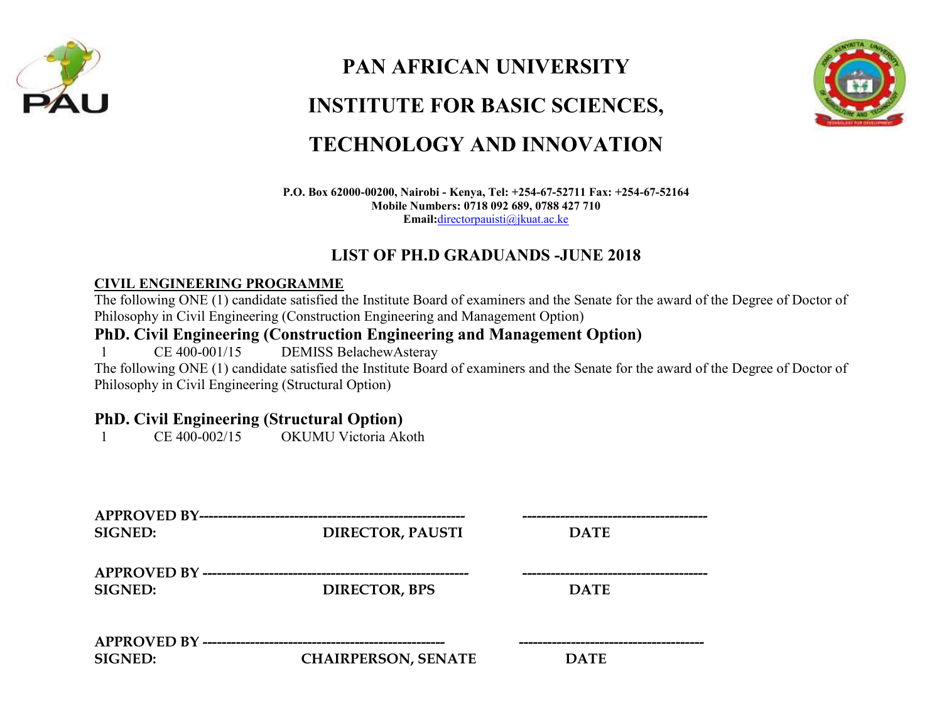

# **PAN AFRICAN UNIVERSITY INSTITUTE FOR BASIC SCIENCES, TECHNOLOGY AND INNOVATION**



#### **P.O. Box 62000-00200, Nairobi - Kenya, Tel: +254-67-52711 Fax: +254-67-52164 Mobile Numbers: 0718 092 689, 0788 427 710 Email:**[directorpauisti@jkuat.ac.ke](mailto:directorpauisti@jkuat.ac.ke)

### **LIST OF PH.D GRADUANDS -JUNE 2018**

#### **CIVIL ENGINEERING PROGRAMME**

The following ONE (1) candidate satisfied the Institute Board of examiners and the Senate for the award of the Degree of Doctor of Philosophy in Civil Engineering (Construction Engineering and Management Option)

#### **PhD. Civil Engineering (Construction Engineering and Management Option)**

1 CE 400-001/15 DEMISS BelachewAsteray

The following ONE (1) candidate satisfied the Institute Board of examiners and the Senate for the award of the Degree of Doctor of Philosophy in Civil Engineering (Structural Option)

## **PhD. Civil Engineering (Structural Option)**<br>1 CE 400-002/15 OKUMU Victoria Ak

1 CE 400-002/15 OKUMU Victoria Akoth

| <b>SIGNED:</b> | <b>DIRECTOR, PAUSTI</b>    | <b>DATE</b> |  |
|----------------|----------------------------|-------------|--|
| <b>SIGNED:</b> | <b>DIRECTOR, BPS</b>       | <b>DATE</b> |  |
| <b>SIGNED:</b> | <b>CHAIRPERSON, SENATE</b> | <b>DATE</b> |  |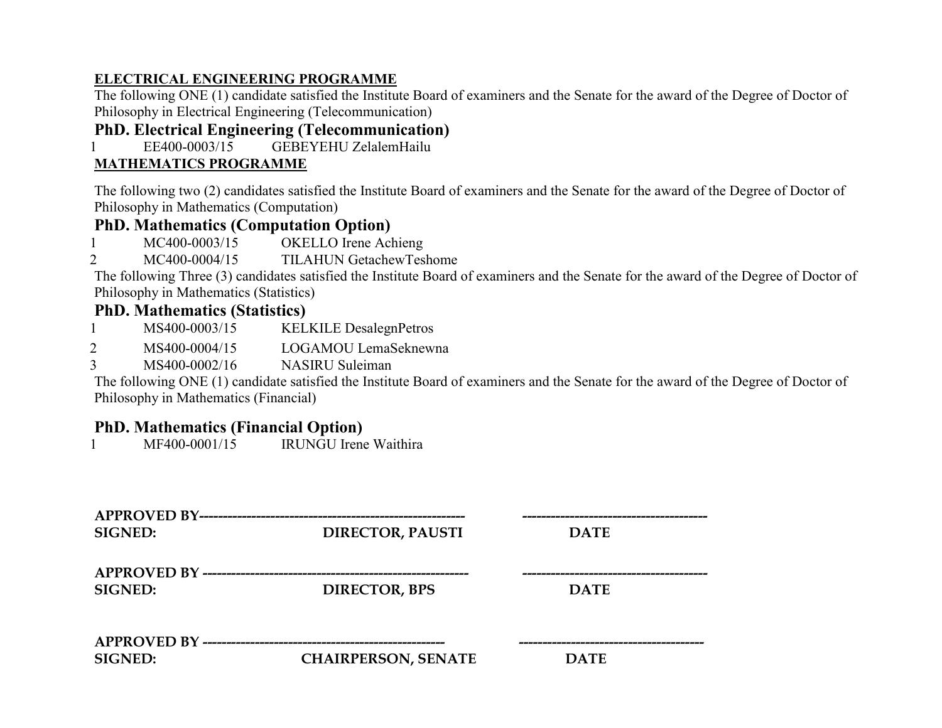#### **ELECTRICAL ENGINEERING PROGRAMME**

The following ONE (1) candidate satisfied the Institute Board of examiners and the Senate for the award of the Degree of Doctor of Philosophy in Electrical Engineering (Telecommunication)

#### **PhD. Electrical Engineering (Telecommunication)**

1 EE400-0003/15 GEBEYEHU ZelalemHailu

#### **MATHEMATICS PROGRAMME**

The following two (2) candidates satisfied the Institute Board of examiners and the Senate for the award of the Degree of Doctor of Philosophy in Mathematics (Computation)

#### **PhD. Mathematics (Computation Option)**

- 1 MC400-0003/15 OKELLO Irene Achieng
- 2 MC400-0004/15 TILAHUN GetachewTeshome

The following Three (3) candidates satisfied the Institute Board of examiners and the Senate for the award of the Degree of Doctor of Philosophy in Mathematics (Statistics)

#### **PhD. Mathematics (Statistics)**

- 1 MS400-0003/15 KELKILE DesalegnPetros
- 2 MS400-0004/15 LOGAMOU LemaSeknewna
- 3 MS400-0002/16 NASIRU Suleiman

The following ONE (1) candidate satisfied the Institute Board of examiners and the Senate for the award of the Degree of Doctor of Philosophy in Mathematics (Financial)

#### **PhD. Mathematics (Financial Option)**

1 MF400-0001/15 IRUNGU Irene Waithira

| APPROVED BY------------<br><b>SIGNED:</b>     | <b>DIRECTOR, PAUSTI</b>    | <b>DATE</b> |  |
|-----------------------------------------------|----------------------------|-------------|--|
| APPROVED BY ---------------<br><b>SIGNED:</b> | <b>DIRECTOR, BPS</b>       | <b>DATE</b> |  |
| <b>SIGNED:</b>                                | <b>CHAIRPERSON, SENATE</b> | <b>DATE</b> |  |